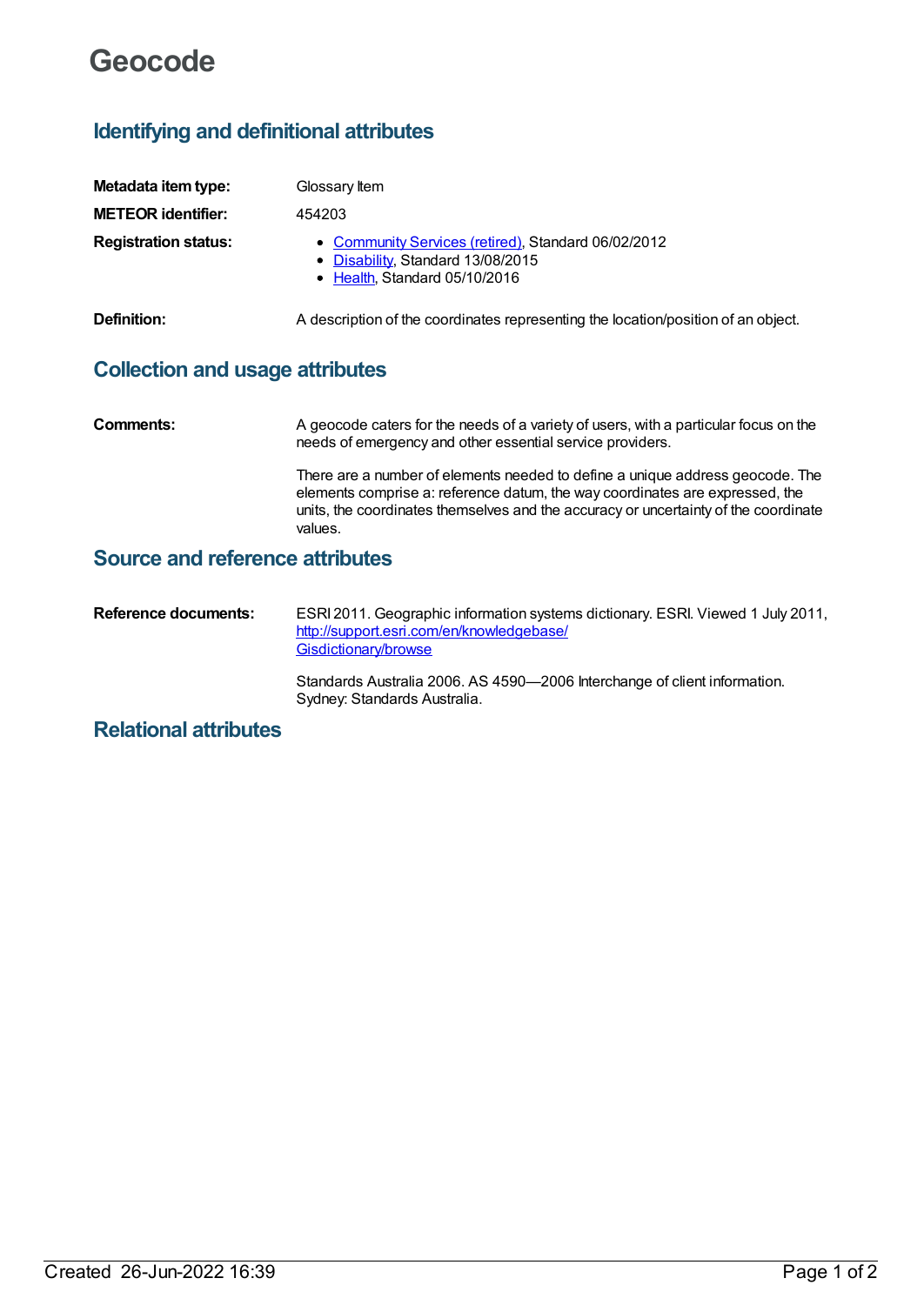# **Geocode**

# **Identifying and definitional attributes**

| Metadata item type:         | Glossary Item                                                                                                             |
|-----------------------------|---------------------------------------------------------------------------------------------------------------------------|
| <b>METEOR identifier:</b>   | 454203                                                                                                                    |
| <b>Registration status:</b> | • Community Services (retired), Standard 06/02/2012<br>• Disability, Standard 13/08/2015<br>• Health, Standard 05/10/2016 |
| Definition:                 | A description of the coordinates representing the location/position of an object.                                         |

# **Collection and usage attributes**

**Comments:** A geocode caters for the needs of a variety of users, with a particular focus on the needs of emergency and other essential service providers. There are a number of elements needed to define a unique address geocode. The elements comprise a: reference datum, the way coordinates are expressed, the units, the coordinates themselves and the accuracy or uncertainty of the coordinate values.

### **Source and reference attributes**

**Reference documents:** ESRI 2011. Geographic information systems dictionary. ESRI. Viewed 1 July 2011, [http://support.esri.com/en/knowledgebase/](http://support.esri.com/en/knowledgebase/Gisdictionary/browse) Gisdictionary/browse

> Standards Australia 2006. AS 4590—2006 Interchange of client information. Sydney: Standards Australia.

# **Relational attributes**